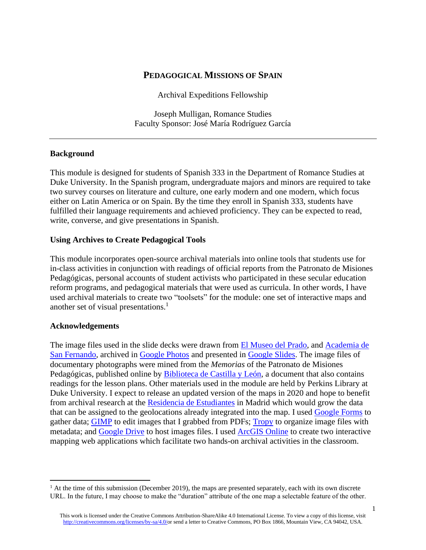# **PEDAGOGICAL MISSIONS OF SPAIN**

Archival Expeditions Fellowship

Joseph Mulligan, Romance Studies Faculty Sponsor: José María Rodríguez García

#### **Background**

This module is designed for students of Spanish 333 in the Department of Romance Studies at Duke University. In the Spanish program, undergraduate majors and minors are required to take two survey courses on literature and culture, one early modern and one modern, which focus either on Latin America or on Spain. By the time they enroll in Spanish 333, students have fulfilled their language requirements and achieved proficiency. They can be expected to read, write, converse, and give presentations in Spanish.

#### **Using Archives to Create Pedagogical Tools**

This module incorporates open-source archival materials into online tools that students use for in-class activities in conjunction with readings of official reports from the Patronato de Misiones Pedagógicas, personal accounts of student activists who participated in these secular education reform programs, and pedagogical materials that were used as curricula. In other words, I have used archival materials to create two "toolsets" for the module: one set of interactive maps and another set of visual presentations.<sup>1</sup>

#### **Acknowledgements**

The image files used in the slide decks were drawn from [El Museo del Prado,](https://www.museodelprado.es/) and [Academia de](https://www.academiacolecciones.com/)  [San Fernando,](https://www.academiacolecciones.com/) archived in [Google Photos](https://www.google.com/photos/about/) and presented in [Google Slides.](https://www.google.com/slides/about/) The image files of documentary photographs were mined from the *Memorias* of the Patronato de Misiones Pedagógicas, published online by [Biblioteca de Castilla y León,](https://bibliotecadigital.jcyl.es/i18n/consulta/registro.cmd?id=3823) a document that also contains readings for the lesson plans. Other materials used in the module are held by Perkins Library at Duke University. I expect to release an updated version of the maps in 2020 and hope to benefit from archival research at the [Residencia de Estudiantes](http://www.residencia.csic.es/doc/catalogos.htm) in Madrid which would grow the data that can be assigned to the geolocations already integrated into the map. I used [Google Forms](https://www.google.com/forms/about/) to gather data; [GIMP](https://www.gimp.org/) to edit images that I grabbed from PDFs; [Tropy](https://tropy.org/) to organize image files with metadata; and **[Google Drive](https://www.google.com/drive/)** to host images files. I used **ArcGIS Online** to create two interactive mapping web applications which facilitate two hands-on archival activities in the classroom.

 $<sup>1</sup>$  At the time of this submission (December 2019), the maps are presented separately, each with its own discrete</sup> URL. In the future, I may choose to make the "duration" attribute of the one map a selectable feature of the other.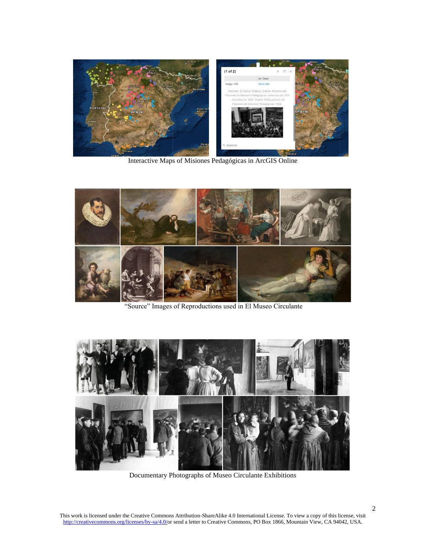

Interactive Maps of Misiones Pedagógicas in ArcGIS Online



"Source" Images of Reproductions used in El Museo Circulante



Documentary Photographs of Museo Circulante Exhibitions

This work is licensed under the Creative Commons Attribution-ShareAlike 4.0 International License. To view a copy of this license, visit [http://creativecommons.org/licenses/by-sa/4.0/o](http://creativecommons.org/licenses/by-sa/4.0/)r send a letter to Creative Commons, PO Box 1866, Mountain View, CA 94042, USA.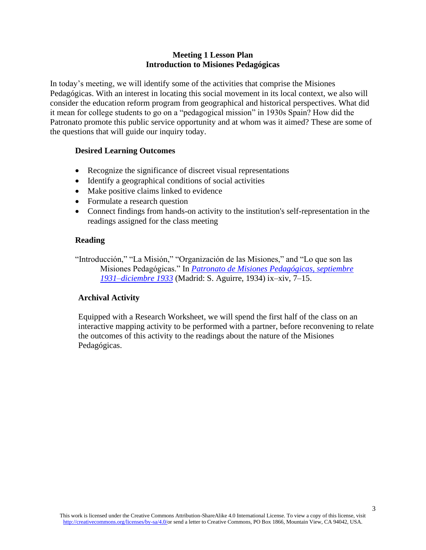# **Meeting 1 Lesson Plan Introduction to Misiones Pedagógicas**

In today's meeting, we will identify some of the activities that comprise the Misiones Pedagógicas. With an interest in locating this social movement in its local context, we also will consider the education reform program from geographical and historical perspectives. What did it mean for college students to go on a "pedagogical mission" in 1930s Spain? How did the Patronato promote this public service opportunity and at whom was it aimed? These are some of the questions that will guide our inquiry today.

# **Desired Learning Outcomes**

- Recognize the significance of discreet visual representations
- Identify a geographical conditions of social activities
- Make positive claims linked to evidence
- Formulate a research question
- Connect findings from hands-on activity to the institution's self-representation in the readings assigned for the class meeting

# **Reading**

"Introducción," "La Misión," "Organización de las Misiones," and "Lo que son las Misiones Pedagógicas." In *[Patronato de Misiones Pedagógicas, septiembre](https://bibliotecadigital.jcyl.es/i18n/consulta/registro.cmd?id=3823)  [1931–diciembre 1933](https://bibliotecadigital.jcyl.es/i18n/consulta/registro.cmd?id=3823)* (Madrid: S. Aguirre, 1934) ix–xiv, 7–15.

# **Archival Activity**

Equipped with a Research Worksheet, we will spend the first half of the class on an interactive mapping activity to be performed with a partner, before reconvening to relate the outcomes of this activity to the readings about the nature of the Misiones Pedagógicas.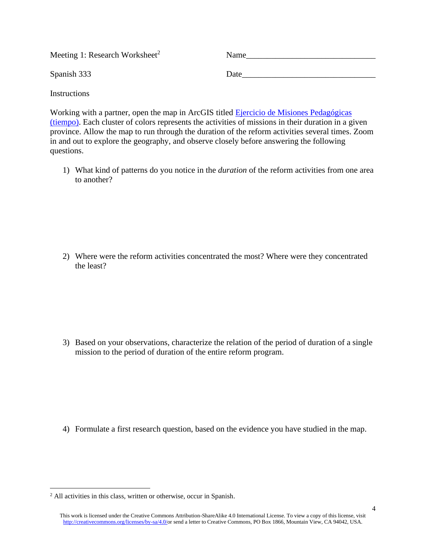| Meeting 1: Research Worksheet <sup>2</sup> | Name |
|--------------------------------------------|------|
| Spanish 333                                | Date |

**Instructions** 

Working with a partner, open the map in ArcGIS titled [Ejercicio de Misiones Pedagógicas](http://dukeuniv.maps.arcgis.com/apps/TimeAware/index.html?appid=71ca3c5445ce41e9aa2e288873927673)  [\(tiempo\).](http://dukeuniv.maps.arcgis.com/apps/TimeAware/index.html?appid=71ca3c5445ce41e9aa2e288873927673) Each cluster of colors represents the activities of missions in their duration in a given province. Allow the map to run through the duration of the reform activities several times. Zoom in and out to explore the geography, and observe closely before answering the following questions.

1) What kind of patterns do you notice in the *duration* of the reform activities from one area to another?

2) Where were the reform activities concentrated the most? Where were they concentrated the least?

3) Based on your observations, characterize the relation of the period of duration of a single mission to the period of duration of the entire reform program.

4) Formulate a first research question, based on the evidence you have studied in the map.

<sup>2</sup> All activities in this class, written or otherwise, occur in Spanish.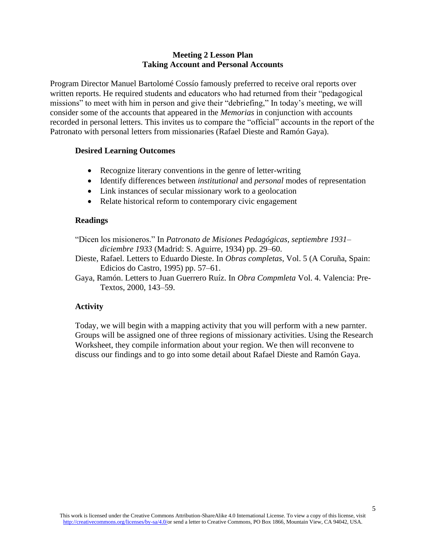# **Meeting 2 Lesson Plan Taking Account and Personal Accounts**

Program Director Manuel Bartolomé Cossío famously preferred to receive oral reports over written reports. He required students and educators who had returned from their "pedagogical missions" to meet with him in person and give their "debriefing," In today's meeting, we will consider some of the accounts that appeared in the *Memorias* in conjunction with accounts recorded in personal letters. This invites us to compare the "official" accounts in the report of the Patronato with personal letters from missionaries (Rafael Dieste and Ramón Gaya).

# **Desired Learning Outcomes**

- Recognize literary conventions in the genre of letter-writing
- Identify differences between *institutional* and *personal* modes of representation
- Link instances of secular missionary work to a geolocation
- Relate historical reform to contemporary civic engagement

### **Readings**

- "Dicen los misioneros." In *Patronato de Misiones Pedagógicas, septiembre 1931– diciembre 1933* (Madrid: S. Aguirre, 1934) pp. 29–60.
- Dieste, Rafael. Letters to Eduardo Dieste. In *Obras completas*, Vol. 5 (A Coruña, Spain: Edicios do Castro, 1995) pp. 57–61.
- Gaya, Ramón. Letters to Juan Guerrero Ruíz. In *Obra Compmleta* Vol. 4. Valencia: Pre-Textos, 2000, 143–59.

# **Activity**

Today, we will begin with a mapping activity that you will perform with a new parnter. Groups will be assigned one of three regions of missionary activities. Using the Research Worksheet, they compile information about your region. We then will reconvene to discuss our findings and to go into some detail about Rafael Dieste and Ramón Gaya.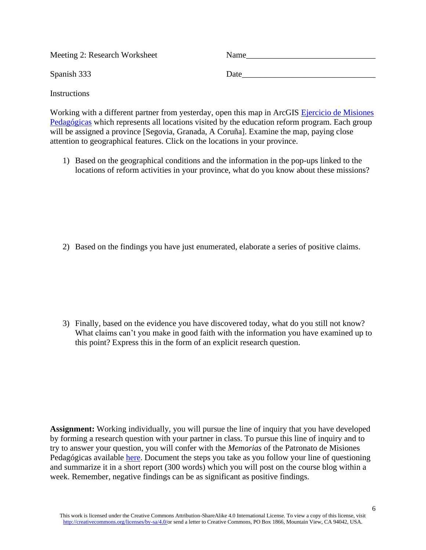| Meeting 2: Research Worksheet | Name |
|-------------------------------|------|
| Spanish 333                   | Date |

**Instructions** 

Working with a different partner from yesterday, open this map in ArcGIS [Ejercicio de Misiones](http://dukeuniv.maps.arcgis.com/apps/TimeAware/index.html?appid=44dab288e14b4f94a225f3862d3ec73f)  [Pedagógicas](http://dukeuniv.maps.arcgis.com/apps/TimeAware/index.html?appid=44dab288e14b4f94a225f3862d3ec73f) which represents all locations visited by the education reform program. Each group will be assigned a province [Segovia, Granada, A Coruña]. Examine the map, paying close attention to geographical features. Click on the locations in your province.

1) Based on the geographical conditions and the information in the pop-ups linked to the locations of reform activities in your province, what do you know about these missions?

2) Based on the findings you have just enumerated, elaborate a series of positive claims.

3) Finally, based on the evidence you have discovered today, what do you still not know? What claims can't you make in good faith with the information you have examined up to this point? Express this in the form of an explicit research question.

**Assignment:** Working individually, you will pursue the line of inquiry that you have developed by forming a research question with your partner in class. To pursue this line of inquiry and to try to answer your question, you will confer with the *Memorias* of the Patronato de Misiones Pedagógicas available [here.](https://bibliotecadigital.jcyl.es/i18n/consulta/registro.cmd?id=3823) Document the steps you take as you follow your line of questioning and summarize it in a short report (300 words) which you will post on the course blog within a week. Remember, negative findings can be as significant as positive findings.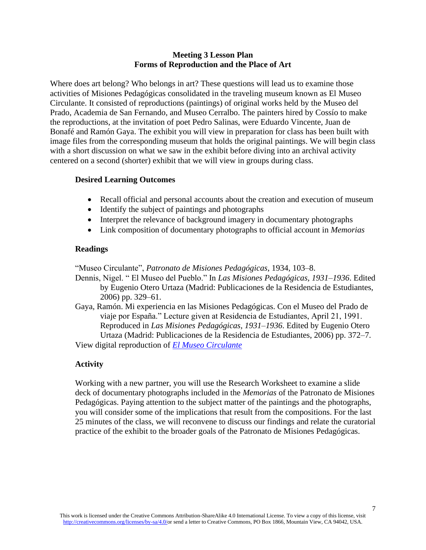# **Meeting 3 Lesson Plan Forms of Reproduction and the Place of Art**

Where does art belong? Who belongs in art? These questions will lead us to examine those activities of Misiones Pedagógicas consolidated in the traveling museum known as El Museo Circulante. It consisted of reproductions (paintings) of original works held by the Museo del Prado, Academia de San Fernando, and Museo Cerralbo. The painters hired by Cossío to make the reproductions, at the invitation of poet Pedro Salinas, were Eduardo Vincente, Juan de Bonafé and Ramón Gaya. The exhibit you will view in preparation for class has been built with image files from the corresponding museum that holds the original paintings. We will begin class with a short discussion on what we saw in the exhibit before diving into an archival activity centered on a second (shorter) exhibit that we will view in groups during class.

# **Desired Learning Outcomes**

- Recall official and personal accounts about the creation and execution of museum
- Identify the subject of paintings and photographs
- Interpret the relevance of background imagery in documentary photographs
- Link composition of documentary photographs to official account in *Memorias*

# **Readings**

"Museo Circulante", *Patronato de Misiones Pedagógicas*, 1934, 103–8.

Dennis, Nigel. " El Museo del Pueblo." In *Las Misiones Pedagógicas, 1931–1936*. Edited by Eugenio Otero Urtaza (Madrid: Publicaciones de la Residencia de Estudiantes, 2006) pp. 329–61.

Gaya, Ramón. Mi experiencia en las Misiones Pedagógicas. Con el Museo del Prado de viaje por España." Lecture given at Residencia de Estudiantes, April 21, 1991. Reproduced in *Las Misiones Pedagógicas, 1931–1936*. Edited by Eugenio Otero Urtaza (Madrid: Publicaciones de la Residencia de Estudiantes, 2006) pp. 372–7. View digital reproduction of *[El Museo Circulante](https://docs.google.com/presentation/d/1K89gENC7fWLiIZZ5txXnKZCAQW-oS4wDanV2R9tQjOw/edit?usp=sharing)*

# **Activity**

Working with a new partner, you will use the Research Worksheet to examine a slide deck of documentary photographs included in the *Memorias* of the Patronato de Misiones Pedagógicas. Paying attention to the subject matter of the paintings and the photographs, you will consider some of the implications that result from the compositions. For the last 25 minutes of the class, we will reconvene to discuss our findings and relate the curatorial practice of the exhibit to the broader goals of the Patronato de Misiones Pedagógicas.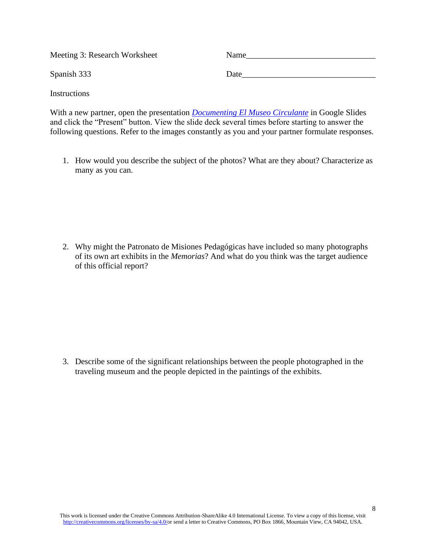| Meeting 3: Research Worksheet | Name |
|-------------------------------|------|
| Spanish 333                   | Date |

With a new partner, open the presentation *[Documenting El Museo Circulante](https://docs.google.com/presentation/d/1rUU_pS3ZE4rDRmgbOz0X6haDkGkdaBcWn1Lwou47gag/edit?usp=sharing)* in Google Slides and click the "Present" button. View the slide deck several times before starting to answer the following questions. Refer to the images constantly as you and your partner formulate responses.

**Instructions** 

1. How would you describe the subject of the photos? What are they about? Characterize as many as you can.

2. Why might the Patronato de Misiones Pedagógicas have included so many photographs of its own art exhibits in the *Memorias*? And what do you think was the target audience of this official report?

3. Describe some of the significant relationships between the people photographed in the traveling museum and the people depicted in the paintings of the exhibits.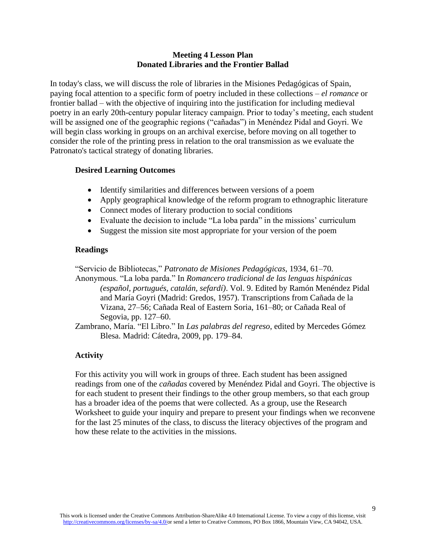# **Meeting 4 Lesson Plan Donated Libraries and the Frontier Ballad**

In today's class, we will discuss the role of libraries in the Misiones Pedagógicas of Spain, paying focal attention to a specific form of poetry included in these collections – *el romance* or frontier ballad – with the objective of inquiring into the justification for including medieval poetry in an early 20th-century popular literacy campaign. Prior to today's meeting, each student will be assigned one of the geographic regions ("cañadas") in Menéndez Pidal and Goyri. We will begin class working in groups on an archival exercise, before moving on all together to consider the role of the printing press in relation to the oral transmission as we evaluate the Patronato's tactical strategy of donating libraries.

# **Desired Learning Outcomes**

- Identify similarities and differences between versions of a poem
- Apply geographical knowledge of the reform program to ethnographic literature
- Connect modes of literary production to social conditions
- Evaluate the decision to include "La loba parda" in the missions' curriculum
- Suggest the mission site most appropriate for your version of the poem

### **Readings**

"Servicio de Bibliotecas," *Patronato de Misiones Pedagógicas*, 1934, 61–70.

Anonymous. "La loba parda." In *Romancero tradicional de las lenguas hispánicas (español, portugués, catalán, sefardí)*. Vol. 9. Edited by Ramón Menéndez Pidal and María Goyri (Madrid: Gredos, 1957). Transcriptions from Cañada de la Vizana, 27–56; Cañada Real of Eastern Soria, 161–80; or Cañada Real of Segovia, pp. 127–60.

Zambrano, María. "El Libro." In *Las palabras del regreso*, edited by Mercedes Gómez Blesa. Madrid: Cátedra, 2009, pp. 179–84.

# **Activity**

For this activity you will work in groups of three. Each student has been assigned readings from one of the *cañadas* covered by Menéndez Pidal and Goyri. The objective is for each student to present their findings to the other group members, so that each group has a broader idea of the poems that were collected. As a group, use the Research Worksheet to guide your inquiry and prepare to present your findings when we reconvene for the last 25 minutes of the class, to discuss the literacy objectives of the program and how these relate to the activities in the missions.